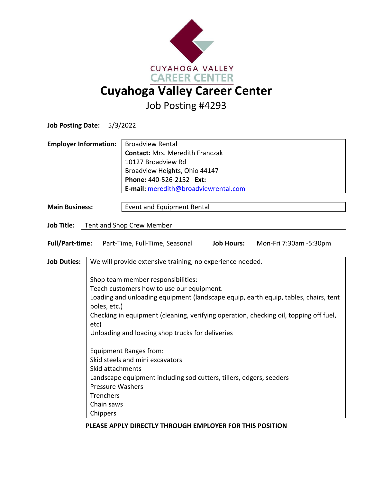

**Job Posting Date:** 5/3/2022 **Employer Information:** | Broadview Rental **Contact:** Mrs. Meredith Franczak 10127 Broadview Rd Broadview Heights, Ohio 44147 **Phone:** 440-526-2152 **Ext: E-mail:** [meredith@broadviewrental.com](mailto:meredith@broadviewrental.com) **Main Business: Event and Equipment Rental Job Title:** Tent and Shop Crew Member **Full/Part-time:** Part-Time, Full-Time, Seasonal **Job Hours:** Mon-Fri 7:30am -5:30pm **Job Duties:** We will provide extensive training; no experience needed. Shop team member responsibilities: Teach customers how to use our equipment. Loading and unloading equipment (landscape equip, earth equip, tables, chairs, tent poles, etc.) Checking in equipment (cleaning, verifying operation, checking oil, topping off fuel, etc) Unloading and loading shop trucks for deliveries Equipment Ranges from: Skid steels and mini excavators Skid attachments Landscape equipment including sod cutters, tillers, edgers, seeders Pressure Washers **Trenchers** Chain saws Chippers

## **PLEASE APPLY DIRECTLY THROUGH EMPLOYER FOR THIS POSITION**